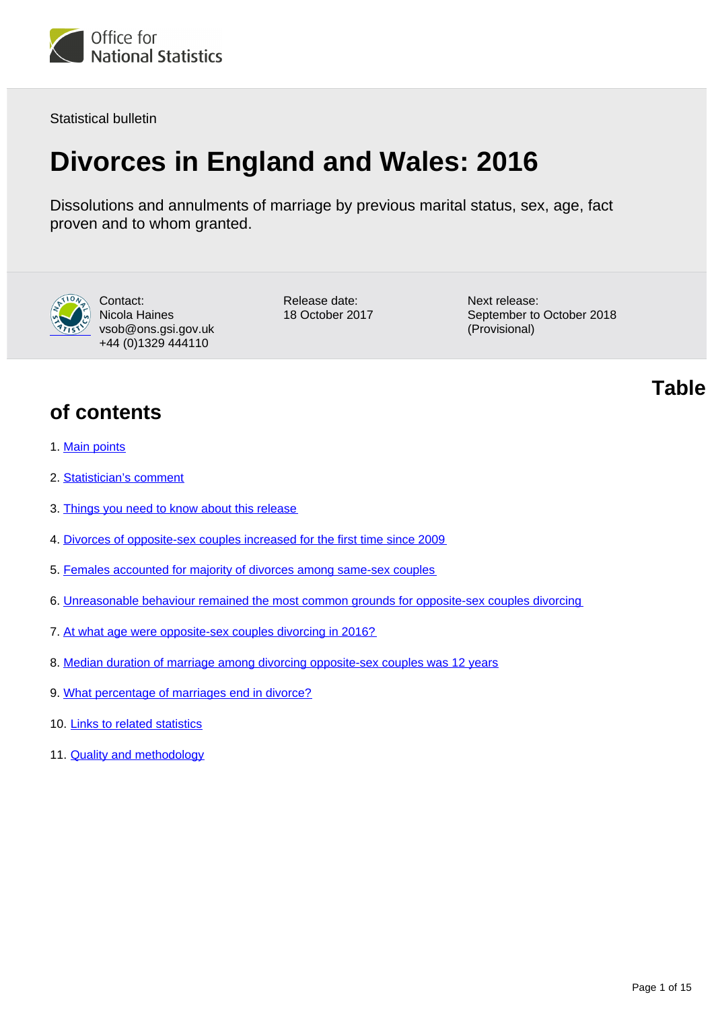

Statistical bulletin

# **Divorces in England and Wales: 2016**

Dissolutions and annulments of marriage by previous marital status, sex, age, fact proven and to whom granted.



Contact: Nicola Haines vsob@ons.gsi.gov.uk +44 (0)1329 444110

Release date: 18 October 2017 Next release: September to October 2018 (Provisional)

**of contents**

- 1. [Main points](#page-1-0)
- 2. [Statistician's comment](#page-1-1)
- 3. [Things you need to know about this release](#page-1-2)
- 4. [Divorces of opposite-sex couples increased for the first time since 2009](#page-2-0)
- 5. [Females accounted for majority of divorces among same-sex couples](#page-5-0)
- 6. [Unreasonable behaviour remained the most common grounds for opposite-sex couples divorcing](#page-5-1)
- 7. [At what age were opposite-sex couples divorcing in 2016?](#page-5-2)
- 8. [Median duration of marriage among divorcing opposite-sex couples was 12 years](#page-11-0)
- 9. [What percentage of marriages end in divorce?](#page-13-0)
- 10. [Links to related statistics](#page-13-1)
- 11. [Quality and methodology](#page-13-2)

**Table**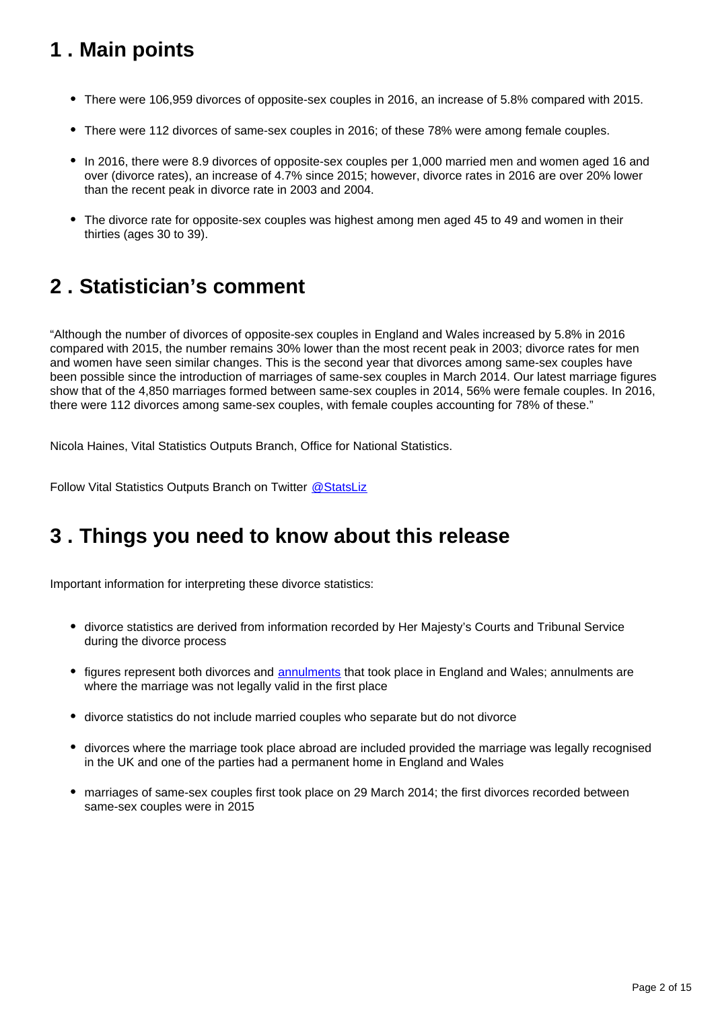# <span id="page-1-0"></span>**1 . Main points**

- There were 106,959 divorces of opposite-sex couples in 2016, an increase of 5.8% compared with 2015.
- There were 112 divorces of same-sex couples in 2016; of these 78% were among female couples.
- In 2016, there were 8.9 divorces of opposite-sex couples per 1,000 married men and women aged 16 and over (divorce rates), an increase of 4.7% since 2015; however, divorce rates in 2016 are over 20% lower than the recent peak in divorce rate in 2003 and 2004.
- The divorce rate for opposite-sex couples was highest among men aged 45 to 49 and women in their thirties (ages 30 to 39).

# <span id="page-1-1"></span>**2 . Statistician's comment**

"Although the number of divorces of opposite-sex couples in England and Wales increased by 5.8% in 2016 compared with 2015, the number remains 30% lower than the most recent peak in 2003; divorce rates for men and women have seen similar changes. This is the second year that divorces among same-sex couples have been possible since the introduction of marriages of same-sex couples in March 2014. Our latest marriage figures show that of the 4,850 marriages formed between same-sex couples in 2014, 56% were female couples. In 2016, there were 112 divorces among same-sex couples, with female couples accounting for 78% of these."

Nicola Haines, Vital Statistics Outputs Branch, Office for National Statistics.

Follow Vital Statistics Outputs Branch on Twitter @ StatsLiz

# <span id="page-1-2"></span>**3 . Things you need to know about this release**

Important information for interpreting these divorce statistics:

- divorce statistics are derived from information recorded by Her Majesty's Courts and Tribunal Service during the divorce process
- figures represent both divorces and [annulments](https://www.gov.uk/how-to-annul-marriage) that took place in England and Wales; annulments are where the marriage was not legally valid in the first place
- divorce statistics do not include married couples who separate but do not divorce
- divorces where the marriage took place abroad are included provided the marriage was legally recognised in the UK and one of the parties had a permanent home in England and Wales
- marriages of same-sex couples first took place on 29 March 2014; the first divorces recorded between same-sex couples were in 2015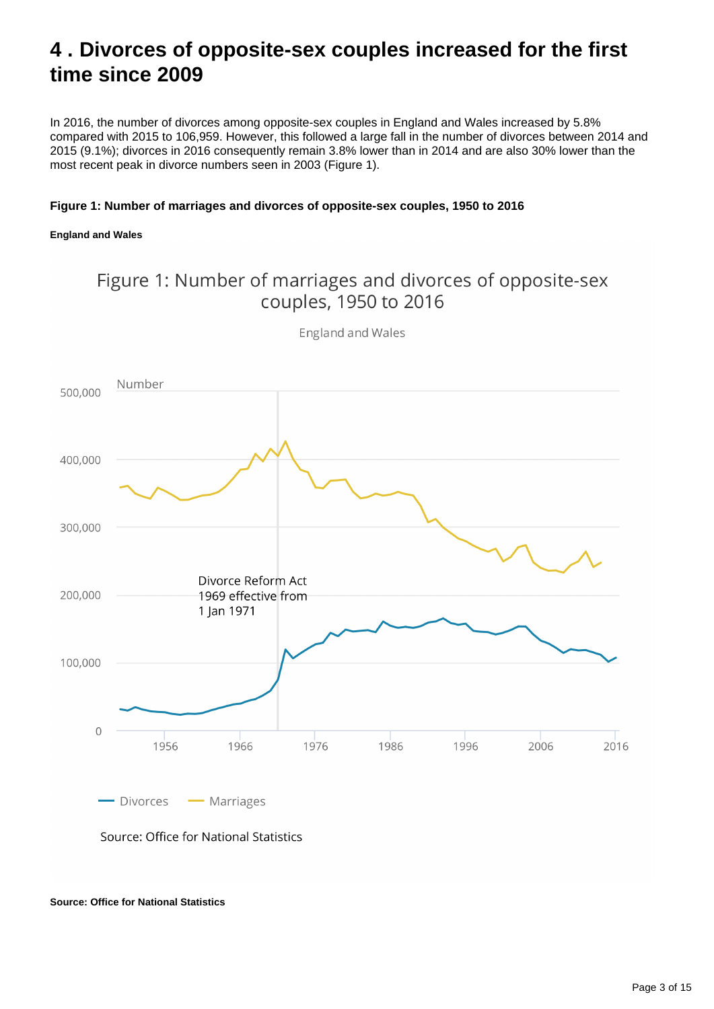# <span id="page-2-0"></span>**4 . Divorces of opposite-sex couples increased for the first time since 2009**

In 2016, the number of divorces among opposite-sex couples in England and Wales increased by 5.8% compared with 2015 to 106,959. However, this followed a large fall in the number of divorces between 2014 and 2015 (9.1%); divorces in 2016 consequently remain 3.8% lower than in 2014 and are also 30% lower than the most recent peak in divorce numbers seen in 2003 (Figure 1).

### **Figure 1: Number of marriages and divorces of opposite-sex couples, 1950 to 2016**

### **England and Wales**

### Figure 1: Number of marriages and divorces of opposite-sex couples, 1950 to 2016



England and Wales

Source: Office for National Statistics

- Marriages

**Source: Office for National Statistics**

- Divorces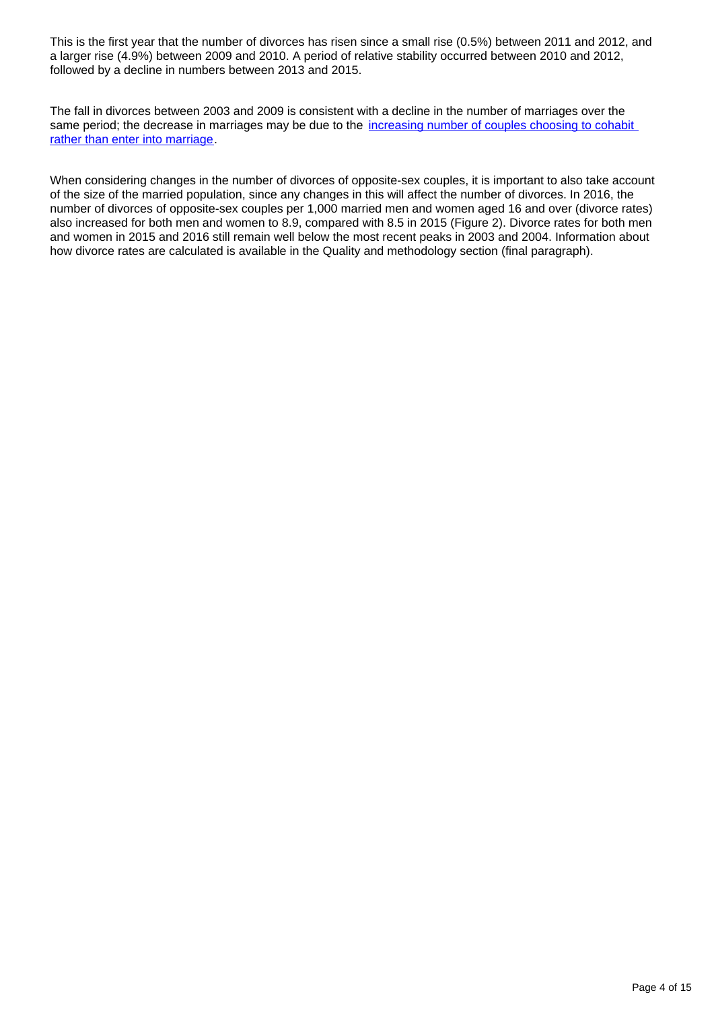This is the first year that the number of divorces has risen since a small rise (0.5%) between 2011 and 2012, and a larger rise (4.9%) between 2009 and 2010. A period of relative stability occurred between 2010 and 2012, followed by a decline in numbers between 2013 and 2015.

The fall in divorces between 2003 and 2009 is consistent with a decline in the number of marriages over the same period; the decrease in marriages may be due to the *increasing number of couples choosing to cohabit* [rather than enter into marriage.](http://webarchive.nationalarchives.gov.uk/20160105160709/http:/www.ons.gov.uk/ons/rel/population-trends-rd/population-trends/no--145--autumn-2011/ard-pt145-cohab-marriage-trends.pdf)

When considering changes in the number of divorces of opposite-sex couples, it is important to also take account of the size of the married population, since any changes in this will affect the number of divorces. In 2016, the number of divorces of opposite-sex couples per 1,000 married men and women aged 16 and over (divorce rates) also increased for both men and women to 8.9, compared with 8.5 in 2015 (Figure 2). Divorce rates for both men and women in 2015 and 2016 still remain well below the most recent peaks in 2003 and 2004. Information about how divorce rates are calculated is available in the Quality and methodology section (final paragraph).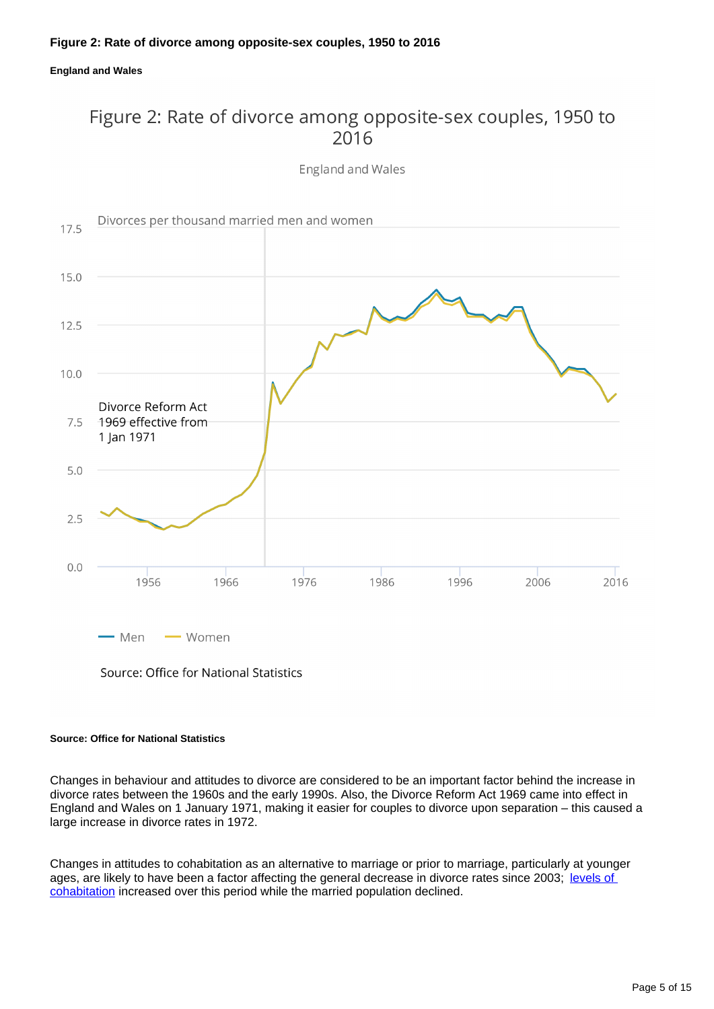### **Figure 2: Rate of divorce among opposite-sex couples, 1950 to 2016**

**England and Wales**

### Figure 2: Rate of divorce among opposite-sex couples, 1950 to 2016

England and Wales



Source: Office for National Statistics

### **Source: Office for National Statistics**

Changes in behaviour and attitudes to divorce are considered to be an important factor behind the increase in divorce rates between the 1960s and the early 1990s. Also, the Divorce Reform Act 1969 came into effect in England and Wales on 1 January 1971, making it easier for couples to divorce upon separation – this caused a large increase in divorce rates in 1972.

Changes in attitudes to cohabitation as an alternative to marriage or prior to marriage, particularly at younger ages, are likely to have been a factor affecting the general decrease in divorce rates since 2003; levels of [cohabitation](http://www.ons.gov.uk/peoplepopulationandcommunity/populationandmigration/populationestimates/bulletins/populationestimatesbymaritalstatusandlivingarrangements/2002to2016) increased over this period while the married population declined.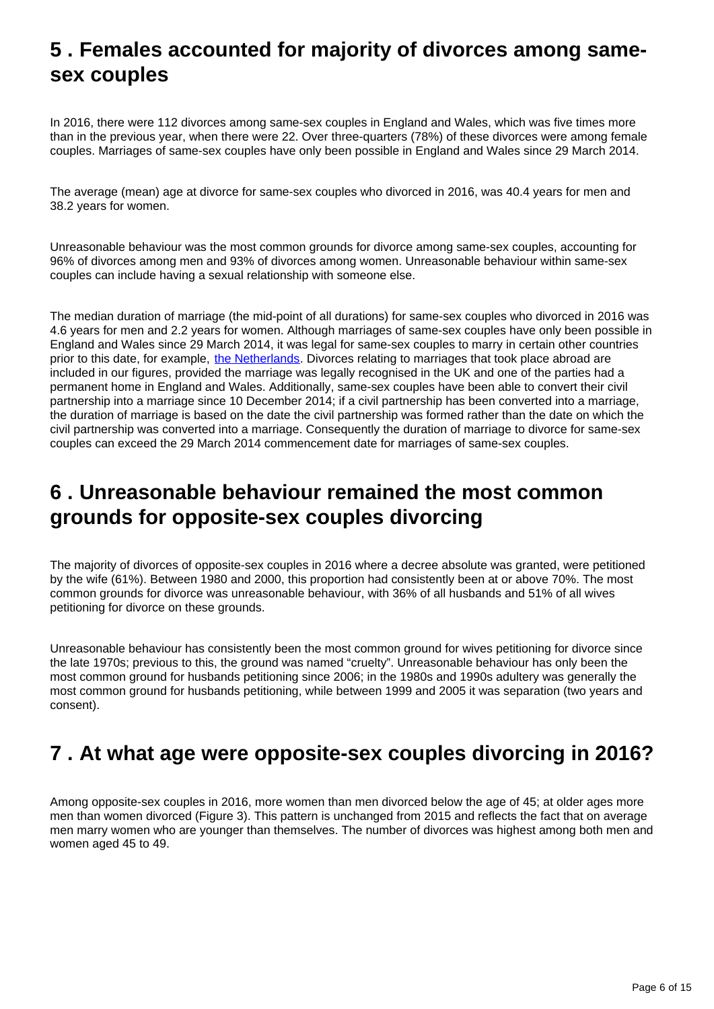# <span id="page-5-0"></span>**5 . Females accounted for majority of divorces among samesex couples**

In 2016, there were 112 divorces among same-sex couples in England and Wales, which was five times more than in the previous year, when there were 22. Over three-quarters (78%) of these divorces were among female couples. Marriages of same-sex couples have only been possible in England and Wales since 29 March 2014.

The average (mean) age at divorce for same-sex couples who divorced in 2016, was 40.4 years for men and 38.2 years for women.

Unreasonable behaviour was the most common grounds for divorce among same-sex couples, accounting for 96% of divorces among men and 93% of divorces among women. Unreasonable behaviour within same-sex couples can include having a sexual relationship with someone else.

The median duration of marriage (the mid-point of all durations) for same-sex couples who divorced in 2016 was 4.6 years for men and 2.2 years for women. Although marriages of same-sex couples have only been possible in England and Wales since 29 March 2014, it was legal for same-sex couples to marry in certain other countries prior to this date, for example, [the Netherlands](https://www.government.nl/topics/family-law/contents/same-sex-marriage). Divorces relating to marriages that took place abroad are included in our figures, provided the marriage was legally recognised in the UK and one of the parties had a permanent home in England and Wales. Additionally, same-sex couples have been able to convert their civil partnership into a marriage since 10 December 2014; if a civil partnership has been converted into a marriage, the duration of marriage is based on the date the civil partnership was formed rather than the date on which the civil partnership was converted into a marriage. Consequently the duration of marriage to divorce for same-sex couples can exceed the 29 March 2014 commencement date for marriages of same-sex couples.

# <span id="page-5-1"></span>**6 . Unreasonable behaviour remained the most common grounds for opposite-sex couples divorcing**

The majority of divorces of opposite-sex couples in 2016 where a decree absolute was granted, were petitioned by the wife (61%). Between 1980 and 2000, this proportion had consistently been at or above 70%. The most common grounds for divorce was unreasonable behaviour, with 36% of all husbands and 51% of all wives petitioning for divorce on these grounds.

Unreasonable behaviour has consistently been the most common ground for wives petitioning for divorce since the late 1970s; previous to this, the ground was named "cruelty". Unreasonable behaviour has only been the most common ground for husbands petitioning since 2006; in the 1980s and 1990s adultery was generally the most common ground for husbands petitioning, while between 1999 and 2005 it was separation (two years and consent).

# <span id="page-5-2"></span>**7 . At what age were opposite-sex couples divorcing in 2016?**

Among opposite-sex couples in 2016, more women than men divorced below the age of 45; at older ages more men than women divorced (Figure 3). This pattern is unchanged from 2015 and reflects the fact that on average men marry women who are younger than themselves. The number of divorces was highest among both men and women aged 45 to 49.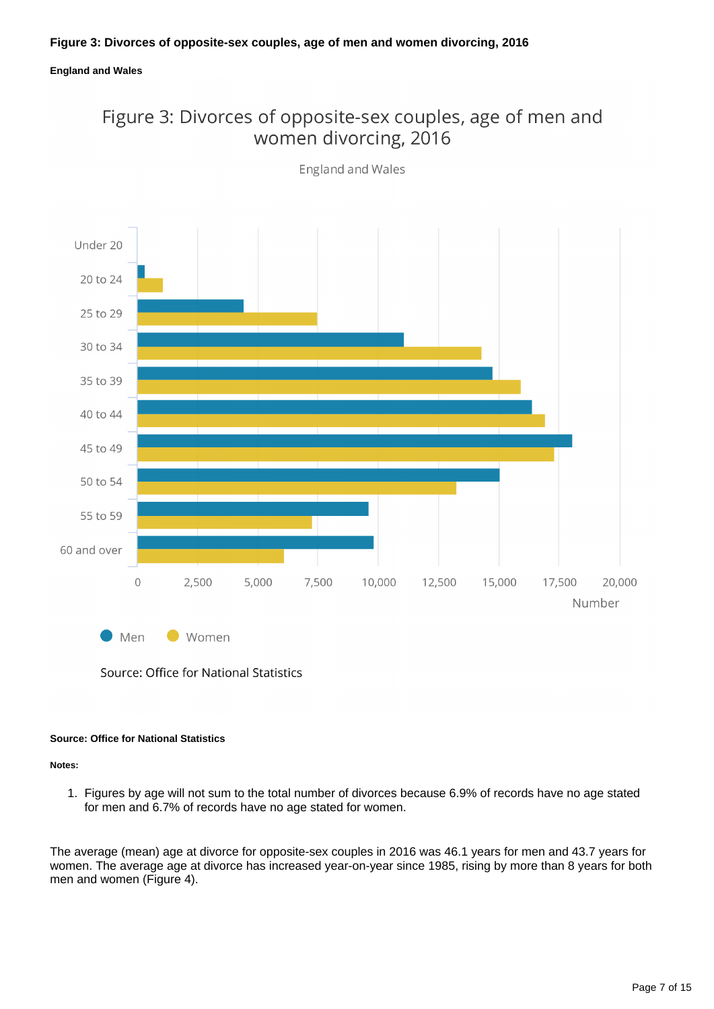### Figure 3: Divorces of opposite-sex couples, age of men and women divorcing, 2016



**England and Wales** 

Source: Office for National Statistics

#### **Source: Office for National Statistics**

**Notes:**

1. Figures by age will not sum to the total number of divorces because 6.9% of records have no age stated for men and 6.7% of records have no age stated for women.

The average (mean) age at divorce for opposite-sex couples in 2016 was 46.1 years for men and 43.7 years for women. The average age at divorce has increased year-on-year since 1985, rising by more than 8 years for both men and women (Figure 4).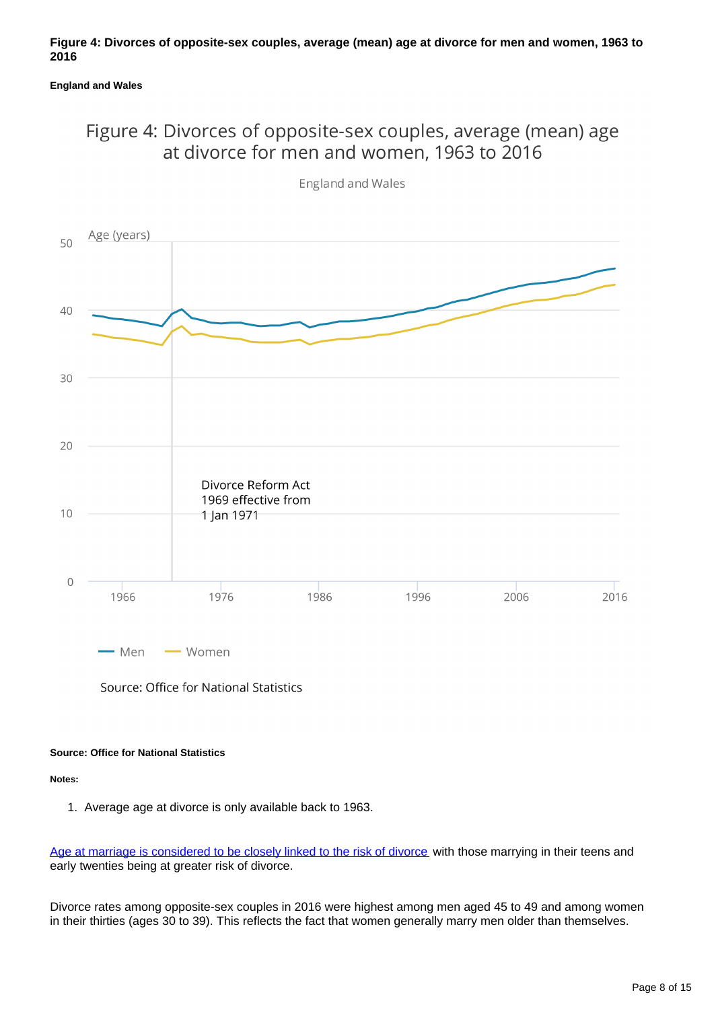### Figure 4: Divorces of opposite-sex couples, average (mean) age at divorce for men and women, 1963 to 2016



England and Wales

Source: Office for National Statistics

### **Source: Office for National Statistics**

**Notes:**

1. Average age at divorce is only available back to 1963.

[Age at marriage is considered to be closely linked to the risk of divorce](http://webarchive.nationalarchives.gov.uk/20160105160709/http:/www.ons.gov.uk/ons/rel/vsob1/divorces-in-england-and-wales/2011/sty-what-percentage-of-marriages-end-in-divorce.html) with those marrying in their teens and early twenties being at greater risk of divorce.

Divorce rates among opposite-sex couples in 2016 were highest among men aged 45 to 49 and among women in their thirties (ages 30 to 39). This reflects the fact that women generally marry men older than themselves.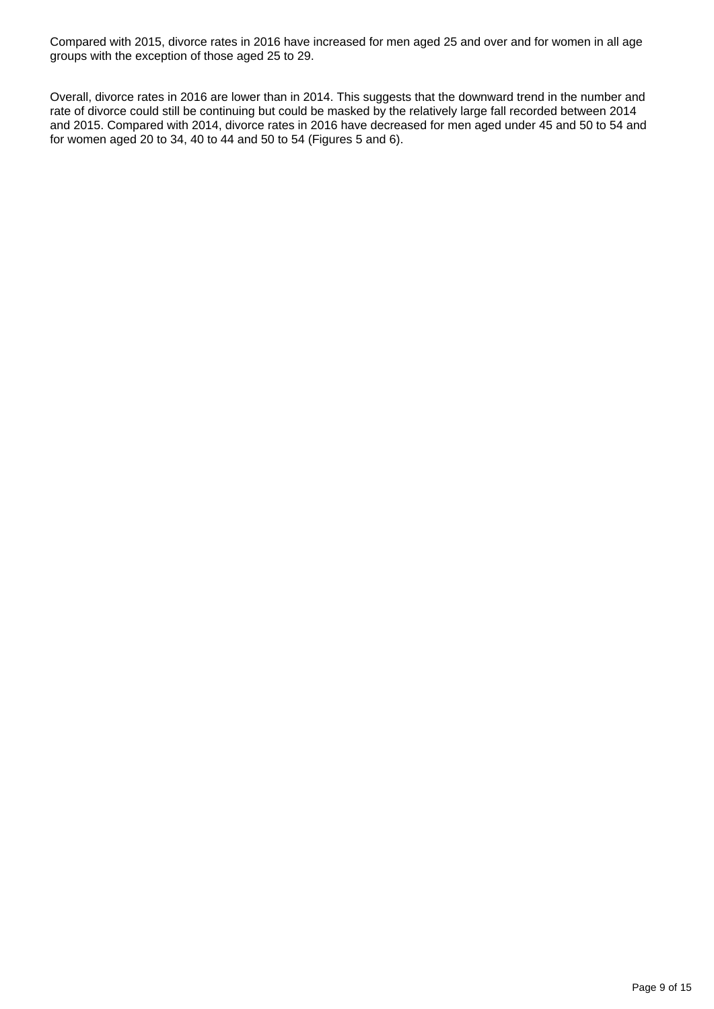Compared with 2015, divorce rates in 2016 have increased for men aged 25 and over and for women in all age groups with the exception of those aged 25 to 29.

Overall, divorce rates in 2016 are lower than in 2014. This suggests that the downward trend in the number and rate of divorce could still be continuing but could be masked by the relatively large fall recorded between 2014 and 2015. Compared with 2014, divorce rates in 2016 have decreased for men aged under 45 and 50 to 54 and for women aged 20 to 34, 40 to 44 and 50 to 54 (Figures 5 and 6).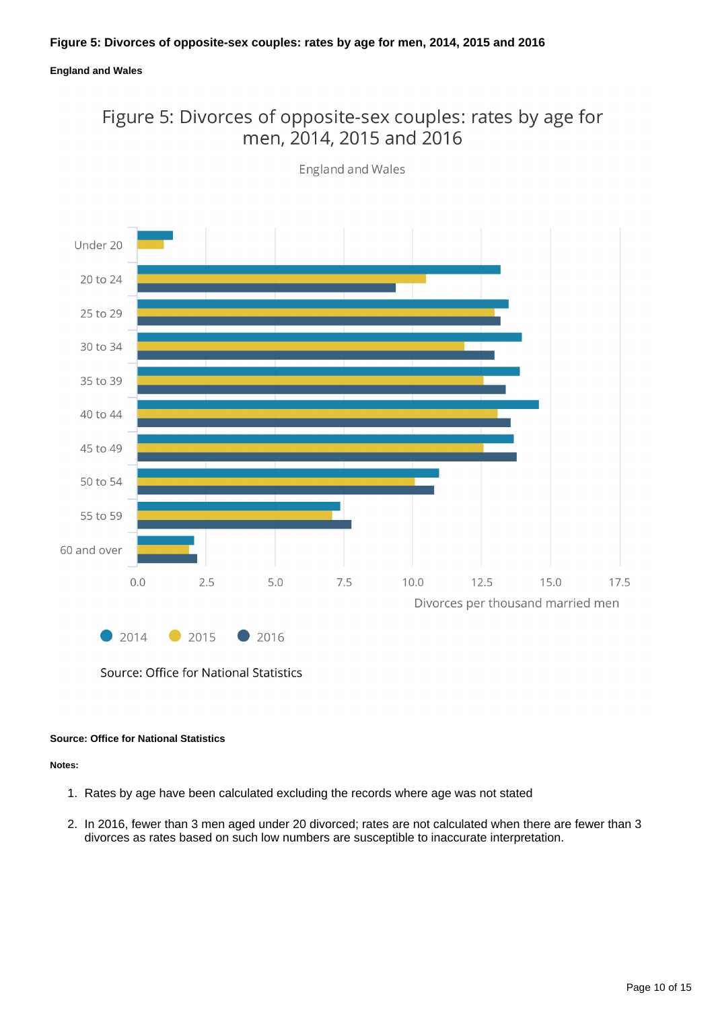### Figure 5: Divorces of opposite-sex couples: rates by age for men, 2014, 2015 and 2016



**England and Wales** 

#### **Source: Office for National Statistics**

#### **Notes:**

- 1. Rates by age have been calculated excluding the records where age was not stated
- 2. In 2016, fewer than 3 men aged under 20 divorced; rates are not calculated when there are fewer than 3 divorces as rates based on such low numbers are susceptible to inaccurate interpretation.

Source: Office for National Statistics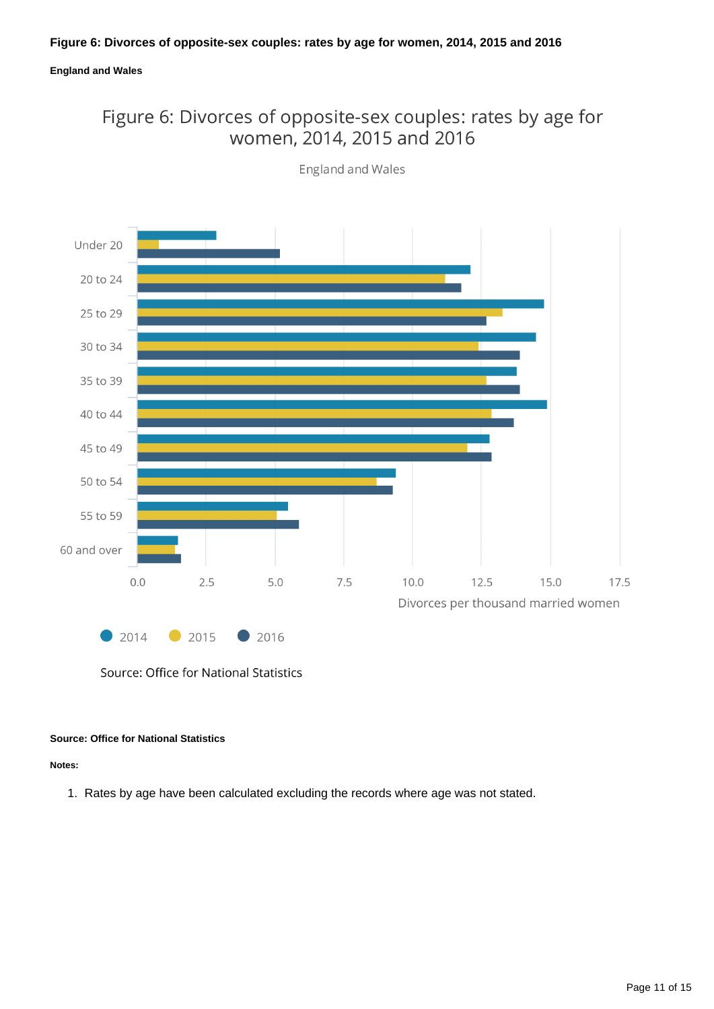### Figure 6: Divorces of opposite-sex couples: rates by age for women, 2014, 2015 and 2016



**England and Wales** 

Source: Office for National Statistics

### **Source: Office for National Statistics**

**Notes:**

1. Rates by age have been calculated excluding the records where age was not stated.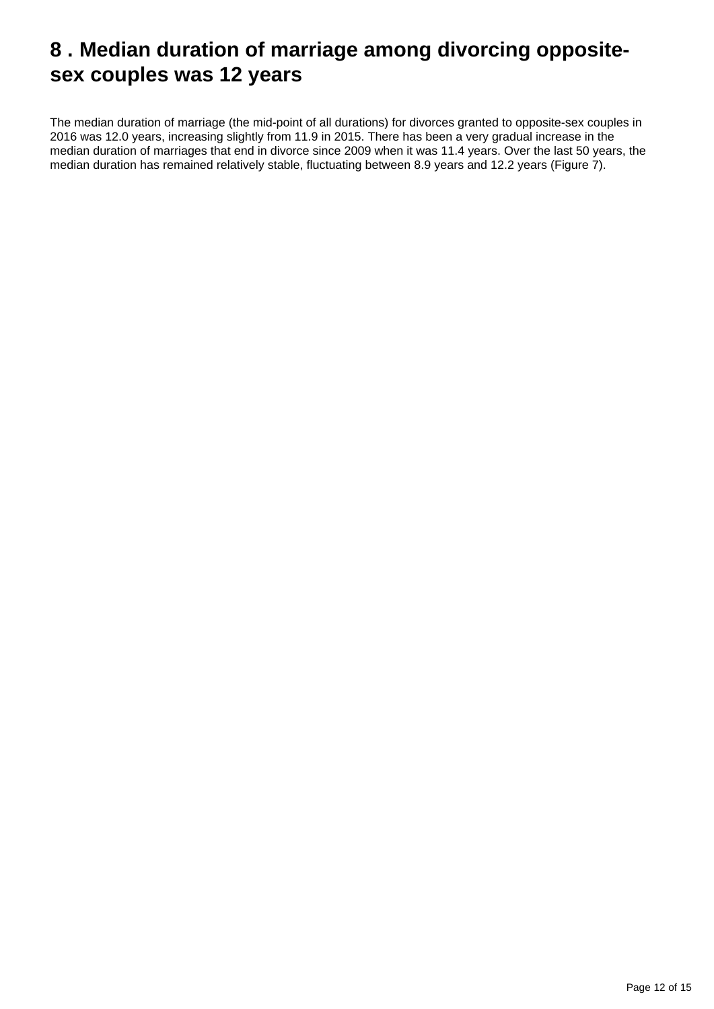# <span id="page-11-0"></span>**8 . Median duration of marriage among divorcing oppositesex couples was 12 years**

The median duration of marriage (the mid-point of all durations) for divorces granted to opposite-sex couples in 2016 was 12.0 years, increasing slightly from 11.9 in 2015. There has been a very gradual increase in the median duration of marriages that end in divorce since 2009 when it was 11.4 years. Over the last 50 years, the median duration has remained relatively stable, fluctuating between 8.9 years and 12.2 years (Figure 7).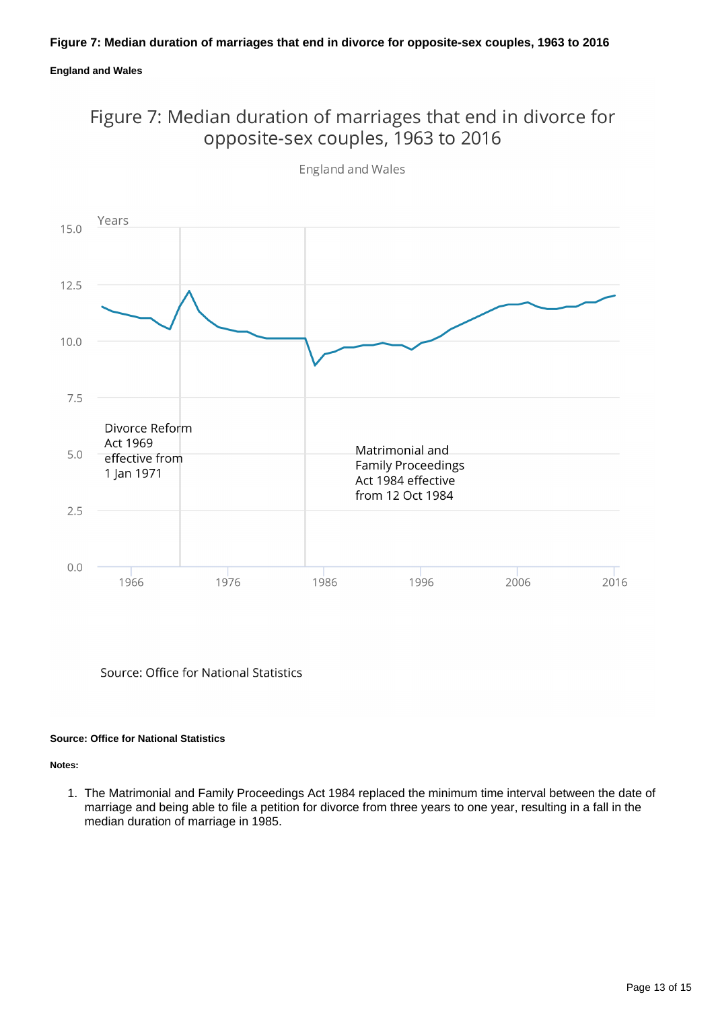### Figure 7: Median duration of marriages that end in divorce for opposite-sex couples, 1963 to 2016



**England and Wales** 

Source: Office for National Statistics

### **Source: Office for National Statistics**

**Notes:**

1. The Matrimonial and Family Proceedings Act 1984 replaced the minimum time interval between the date of marriage and being able to file a petition for divorce from three years to one year, resulting in a fall in the median duration of marriage in 1985.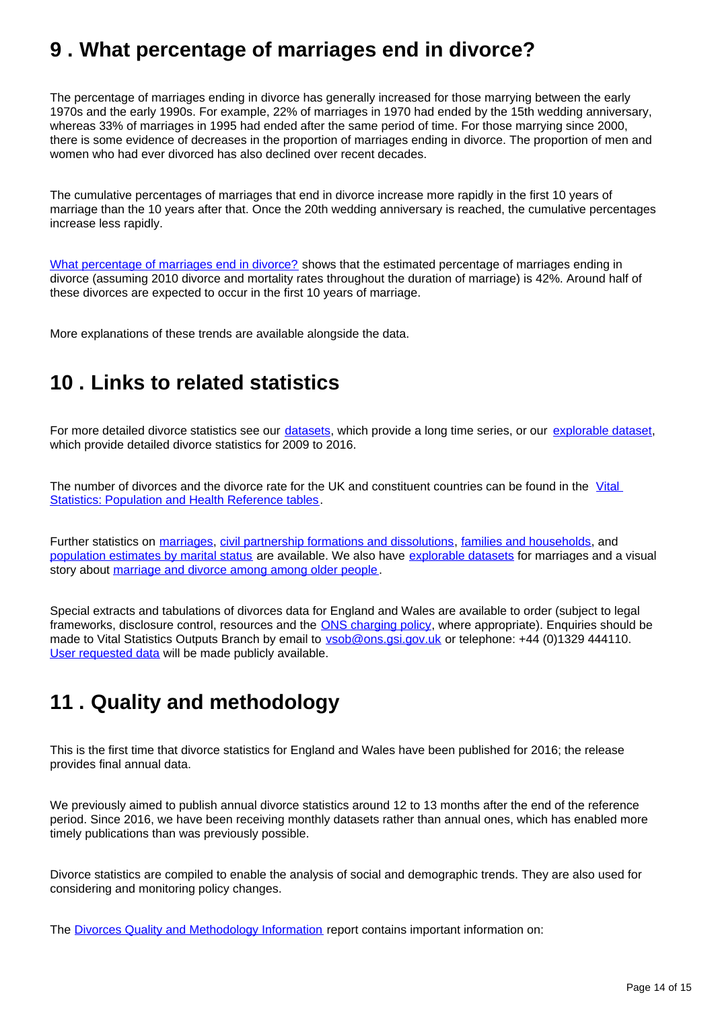# <span id="page-13-0"></span>**9 . What percentage of marriages end in divorce?**

The percentage of marriages ending in divorce has generally increased for those marrying between the early 1970s and the early 1990s. For example, 22% of marriages in 1970 had ended by the 15th wedding anniversary, whereas 33% of marriages in 1995 had ended after the same period of time. For those marrying since 2000, there is some evidence of decreases in the proportion of marriages ending in divorce. The proportion of men and women who had ever divorced has also declined over recent decades.

The cumulative percentages of marriages that end in divorce increase more rapidly in the first 10 years of marriage than the 10 years after that. Once the 20th wedding anniversary is reached, the cumulative percentages increase less rapidly.

[What percentage of marriages end in divorce?](http://webarchive.nationalarchives.gov.uk/20160105160709/http:/www.ons.gov.uk/ons/rel/vsob1/divorces-in-england-and-wales/2011/sty-what-percentage-of-marriages-end-in-divorce.html) shows that the estimated percentage of marriages ending in divorce (assuming 2010 divorce and mortality rates throughout the duration of marriage) is 42%. Around half of these divorces are expected to occur in the first 10 years of marriage.

More explanations of these trends are available alongside the data.

# <span id="page-13-1"></span>**10 . Links to related statistics**

For more detailed divorce statistics see our *datasets*, which provide a long time series, or our [explorable dataset,](https://www.nomisweb.co.uk/query/select/getdatasetbytheme.asp?theme=73) which provide detailed divorce statistics for 2009 to 2016.

The number of divorces and the divorce rate for the UK and constituent countries can be found in the Vital [Statistics: Population and Health Reference tables.](http://www.ons.gov.uk/peoplepopulationandcommunity/populationandmigration/populationestimates/datasets/vitalstatisticspopulationandhealthreferencetables)

Further statistics on [marriages,](https://www.ons.gov.uk/peoplepopulationandcommunity/birthsdeathsandmarriages/marriagecohabitationandcivilpartnerships/bulletins/marriagesinenglandandwalesprovisional/previousReleases) [civil partnership formations and dissolutions,](http://www.ons.gov.uk/peoplepopulationandcommunity/birthsdeathsandmarriages/marriagecohabitationandcivilpartnerships/bulletins/civilpartnershipsinenglandandwales/previousReleases) [families and households](http://www.ons.gov.uk/peoplepopulationandcommunity/birthsdeathsandmarriages/families/bulletins/familiesandhouseholds/previousReleases), and [population estimates by marital status](http://www.ons.gov.uk/peoplepopulationandcommunity/populationandmigration/populationestimates/bulletins/populationestimatesbymaritalstatusandlivingarrangements/previousReleases) are available. We also have [explorable datasets](https://www.nomisweb.co.uk/query/select/getdatasetbytheme.asp?theme=73) for marriages and a visual story about [marriage and divorce among among older people](https://visual.ons.gov.uk/marriage-and-divorce-on-the-rise-at-65-and-over/).

Special extracts and tabulations of divorces data for England and Wales are available to order (subject to legal frameworks, disclosure control, resources and the **ONS** charging policy, where appropriate). Enquiries should be made to Vital Statistics Outputs Branch by email to **vsob@ons.gsi.gov.uk** or telephone: +44 (0)1329 444110. [User requested data](https://www.ons.gov.uk/peoplepopulationandcommunity/birthsdeathsandmarriages/divorce/datalist?sortBy=release_date&query=&filter=user_requested_data&fromDate=&toDate=) will be made publicly available.

# <span id="page-13-2"></span>**11 . Quality and methodology**

This is the first time that divorce statistics for England and Wales have been published for 2016; the release provides final annual data.

We previously aimed to publish annual divorce statistics around 12 to 13 months after the end of the reference period. Since 2016, we have been receiving monthly datasets rather than annual ones, which has enabled more timely publications than was previously possible.

Divorce statistics are compiled to enable the analysis of social and demographic trends. They are also used for considering and monitoring policy changes.

The [Divorces Quality and Methodology Information](https://www.ons.gov.uk/peoplepopulationandcommunity/birthsdeathsandmarriages/divorce/methodologies/divorcesinenglandandwalesqmi) report contains important information on: